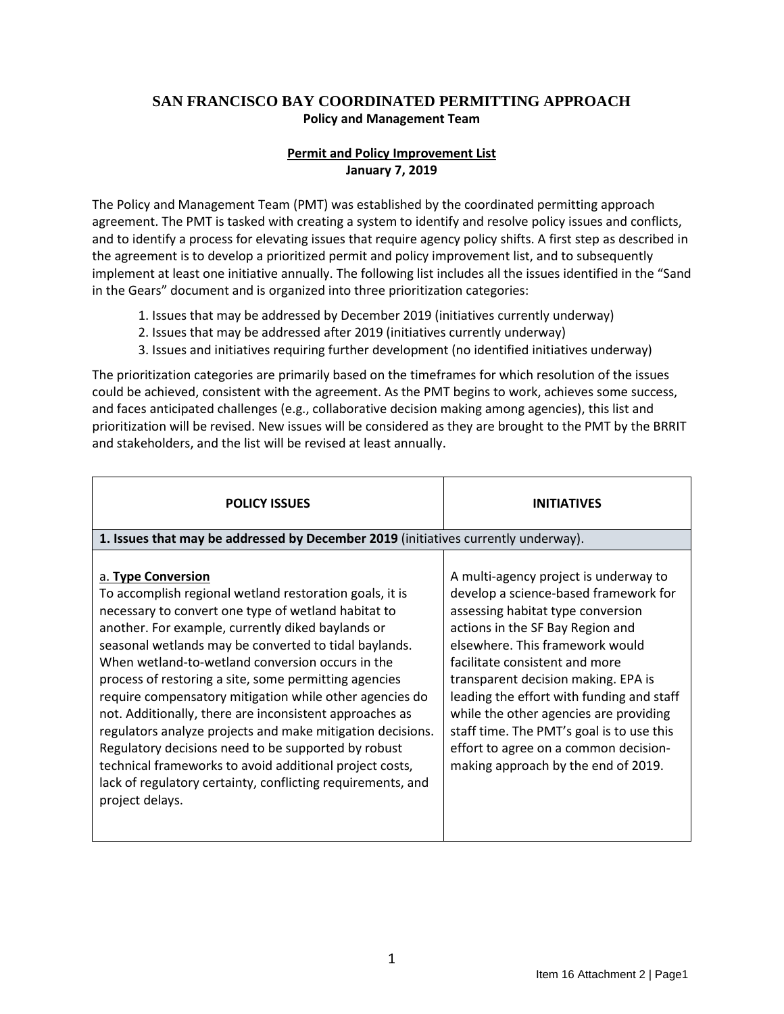## **SAN FRANCISCO BAY COORDINATED PERMITTING APPROACH Policy and Management Team**

## **Permit and Policy Improvement List January 7, 2019**

The Policy and Management Team (PMT) was established by the coordinated permitting approach agreement. The PMT is tasked with creating a system to identify and resolve policy issues and conflicts, and to identify a process for elevating issues that require agency policy shifts. A first step as described in the agreement is to develop a prioritized permit and policy improvement list, and to subsequently implement at least one initiative annually. The following list includes all the issues identified in the "Sand in the Gears" document and is organized into three prioritization categories:

- 1. Issues that may be addressed by December 2019 (initiatives currently underway)
- 2. Issues that may be addressed after 2019 (initiatives currently underway)
- 3. Issues and initiatives requiring further development (no identified initiatives underway)

The prioritization categories are primarily based on the timeframes for which resolution of the issues could be achieved, consistent with the agreement. As the PMT begins to work, achieves some success, and faces anticipated challenges (e.g., collaborative decision making among agencies), this list and prioritization will be revised. New issues will be considered as they are brought to the PMT by the BRRIT and stakeholders, and the list will be revised at least annually.

| <b>POLICY ISSUES</b>                                                                                                                                                                                                                                                                                                                                                                                                                                                                                                                                                                                                                                                                                                                                    | <b>INITIATIVES</b>                                                                                                                                                                                                                                                                                                                                                                                                                                                                      |
|---------------------------------------------------------------------------------------------------------------------------------------------------------------------------------------------------------------------------------------------------------------------------------------------------------------------------------------------------------------------------------------------------------------------------------------------------------------------------------------------------------------------------------------------------------------------------------------------------------------------------------------------------------------------------------------------------------------------------------------------------------|-----------------------------------------------------------------------------------------------------------------------------------------------------------------------------------------------------------------------------------------------------------------------------------------------------------------------------------------------------------------------------------------------------------------------------------------------------------------------------------------|
| 1. Issues that may be addressed by December 2019 (initiatives currently underway).                                                                                                                                                                                                                                                                                                                                                                                                                                                                                                                                                                                                                                                                      |                                                                                                                                                                                                                                                                                                                                                                                                                                                                                         |
| a. Type Conversion<br>To accomplish regional wetland restoration goals, it is<br>necessary to convert one type of wetland habitat to<br>another. For example, currently diked baylands or<br>seasonal wetlands may be converted to tidal baylands.<br>When wetland-to-wetland conversion occurs in the<br>process of restoring a site, some permitting agencies<br>require compensatory mitigation while other agencies do<br>not. Additionally, there are inconsistent approaches as<br>regulators analyze projects and make mitigation decisions.<br>Regulatory decisions need to be supported by robust<br>technical frameworks to avoid additional project costs,<br>lack of regulatory certainty, conflicting requirements, and<br>project delays. | A multi-agency project is underway to<br>develop a science-based framework for<br>assessing habitat type conversion<br>actions in the SF Bay Region and<br>elsewhere. This framework would<br>facilitate consistent and more<br>transparent decision making. EPA is<br>leading the effort with funding and staff<br>while the other agencies are providing<br>staff time. The PMT's goal is to use this<br>effort to agree on a common decision-<br>making approach by the end of 2019. |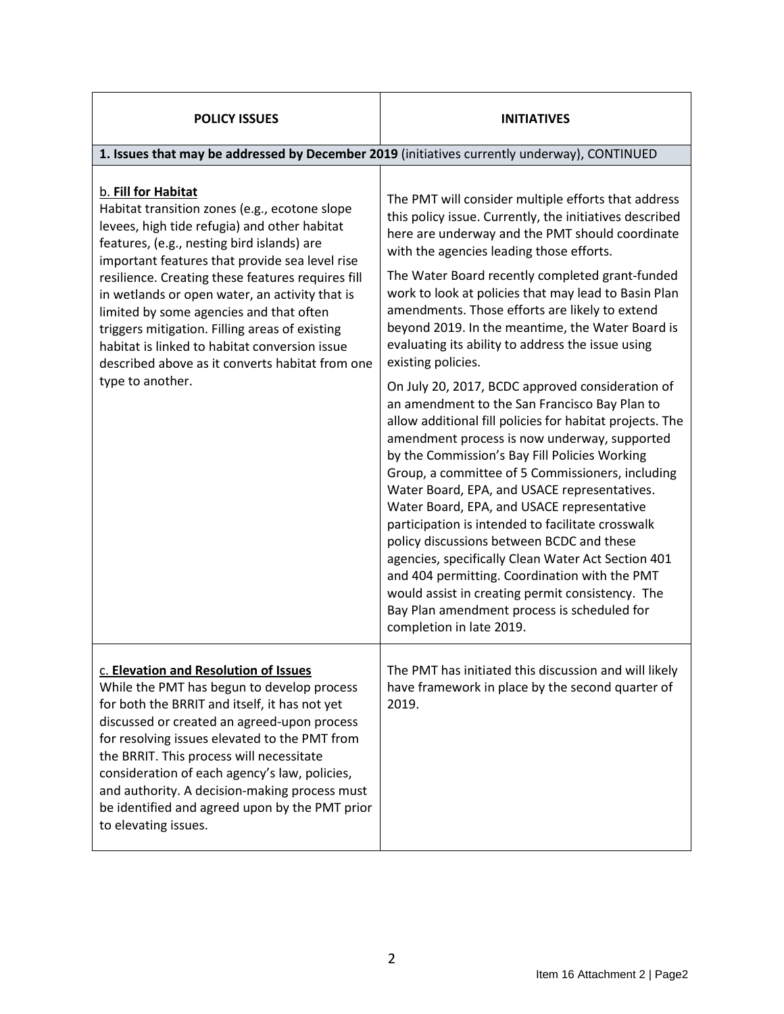| <b>POLICY ISSUES</b>                                                                                                                                                                                                                                                                                                                                                                                                                                                                                                                             | <b>INITIATIVES</b>                                                                                                                                                                                                                                                                                                                                                                                                                                                                                                                                                                                                                                                                                                                                       |  |
|--------------------------------------------------------------------------------------------------------------------------------------------------------------------------------------------------------------------------------------------------------------------------------------------------------------------------------------------------------------------------------------------------------------------------------------------------------------------------------------------------------------------------------------------------|----------------------------------------------------------------------------------------------------------------------------------------------------------------------------------------------------------------------------------------------------------------------------------------------------------------------------------------------------------------------------------------------------------------------------------------------------------------------------------------------------------------------------------------------------------------------------------------------------------------------------------------------------------------------------------------------------------------------------------------------------------|--|
| 1. Issues that may be addressed by December 2019 (initiatives currently underway), CONTINUED                                                                                                                                                                                                                                                                                                                                                                                                                                                     |                                                                                                                                                                                                                                                                                                                                                                                                                                                                                                                                                                                                                                                                                                                                                          |  |
| b. Fill for Habitat<br>Habitat transition zones (e.g., ecotone slope<br>levees, high tide refugia) and other habitat<br>features, (e.g., nesting bird islands) are<br>important features that provide sea level rise<br>resilience. Creating these features requires fill<br>in wetlands or open water, an activity that is<br>limited by some agencies and that often<br>triggers mitigation. Filling areas of existing<br>habitat is linked to habitat conversion issue<br>described above as it converts habitat from one<br>type to another. | The PMT will consider multiple efforts that address<br>this policy issue. Currently, the initiatives described<br>here are underway and the PMT should coordinate<br>with the agencies leading those efforts.<br>The Water Board recently completed grant-funded<br>work to look at policies that may lead to Basin Plan<br>amendments. Those efforts are likely to extend<br>beyond 2019. In the meantime, the Water Board is<br>evaluating its ability to address the issue using<br>existing policies.                                                                                                                                                                                                                                                |  |
|                                                                                                                                                                                                                                                                                                                                                                                                                                                                                                                                                  | On July 20, 2017, BCDC approved consideration of<br>an amendment to the San Francisco Bay Plan to<br>allow additional fill policies for habitat projects. The<br>amendment process is now underway, supported<br>by the Commission's Bay Fill Policies Working<br>Group, a committee of 5 Commissioners, including<br>Water Board, EPA, and USACE representatives.<br>Water Board, EPA, and USACE representative<br>participation is intended to facilitate crosswalk<br>policy discussions between BCDC and these<br>agencies, specifically Clean Water Act Section 401<br>and 404 permitting. Coordination with the PMT<br>would assist in creating permit consistency. The<br>Bay Plan amendment process is scheduled for<br>completion in late 2019. |  |
| c. Elevation and Resolution of Issues<br>While the PMT has begun to develop process<br>for both the BRRIT and itself, it has not yet<br>discussed or created an agreed-upon process<br>for resolving issues elevated to the PMT from<br>the BRRIT. This process will necessitate<br>consideration of each agency's law, policies,<br>and authority. A decision-making process must<br>be identified and agreed upon by the PMT prior<br>to elevating issues.                                                                                     | The PMT has initiated this discussion and will likely<br>have framework in place by the second quarter of<br>2019.                                                                                                                                                                                                                                                                                                                                                                                                                                                                                                                                                                                                                                       |  |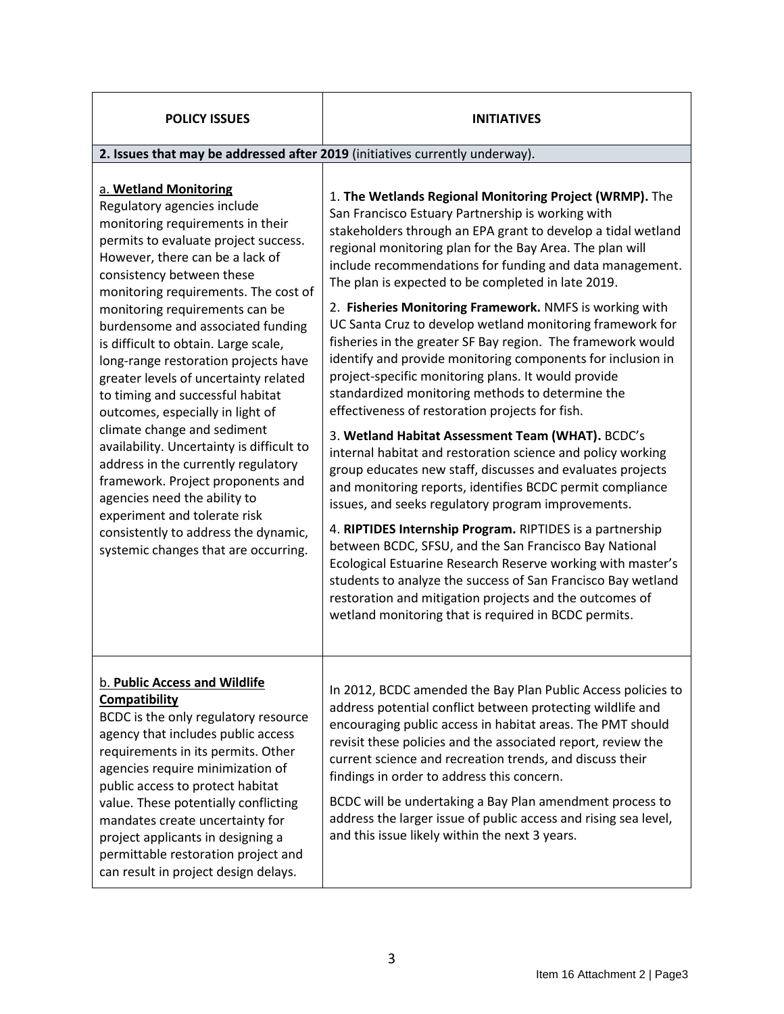| <b>POLICY ISSUES</b>                                                                                                                                                                                                                                                                                                                                                                                                                                                                                                                                                                                                                                                                                                                                                                                                     | <b>INITIATIVES</b>                                                                                                                                                                                                                                                                                                                                                                                                                                                                                                                                                                                                                                                                                                                                                                                                                                                                                                                                                                                                                                                                                                                                                                                                                                                                                                                                                                                                                                           |  |
|--------------------------------------------------------------------------------------------------------------------------------------------------------------------------------------------------------------------------------------------------------------------------------------------------------------------------------------------------------------------------------------------------------------------------------------------------------------------------------------------------------------------------------------------------------------------------------------------------------------------------------------------------------------------------------------------------------------------------------------------------------------------------------------------------------------------------|--------------------------------------------------------------------------------------------------------------------------------------------------------------------------------------------------------------------------------------------------------------------------------------------------------------------------------------------------------------------------------------------------------------------------------------------------------------------------------------------------------------------------------------------------------------------------------------------------------------------------------------------------------------------------------------------------------------------------------------------------------------------------------------------------------------------------------------------------------------------------------------------------------------------------------------------------------------------------------------------------------------------------------------------------------------------------------------------------------------------------------------------------------------------------------------------------------------------------------------------------------------------------------------------------------------------------------------------------------------------------------------------------------------------------------------------------------------|--|
| 2. Issues that may be addressed after 2019 (initiatives currently underway).                                                                                                                                                                                                                                                                                                                                                                                                                                                                                                                                                                                                                                                                                                                                             |                                                                                                                                                                                                                                                                                                                                                                                                                                                                                                                                                                                                                                                                                                                                                                                                                                                                                                                                                                                                                                                                                                                                                                                                                                                                                                                                                                                                                                                              |  |
| a. Wetland Monitoring<br>Regulatory agencies include<br>monitoring requirements in their<br>permits to evaluate project success.<br>However, there can be a lack of<br>consistency between these<br>monitoring requirements. The cost of<br>monitoring requirements can be<br>burdensome and associated funding<br>is difficult to obtain. Large scale,<br>long-range restoration projects have<br>greater levels of uncertainty related<br>to timing and successful habitat<br>outcomes, especially in light of<br>climate change and sediment<br>availability. Uncertainty is difficult to<br>address in the currently regulatory<br>framework. Project proponents and<br>agencies need the ability to<br>experiment and tolerate risk<br>consistently to address the dynamic,<br>systemic changes that are occurring. | 1. The Wetlands Regional Monitoring Project (WRMP). The<br>San Francisco Estuary Partnership is working with<br>stakeholders through an EPA grant to develop a tidal wetland<br>regional monitoring plan for the Bay Area. The plan will<br>include recommendations for funding and data management.<br>The plan is expected to be completed in late 2019.<br>2. Fisheries Monitoring Framework. NMFS is working with<br>UC Santa Cruz to develop wetland monitoring framework for<br>fisheries in the greater SF Bay region. The framework would<br>identify and provide monitoring components for inclusion in<br>project-specific monitoring plans. It would provide<br>standardized monitoring methods to determine the<br>effectiveness of restoration projects for fish.<br>3. Wetland Habitat Assessment Team (WHAT). BCDC's<br>internal habitat and restoration science and policy working<br>group educates new staff, discusses and evaluates projects<br>and monitoring reports, identifies BCDC permit compliance<br>issues, and seeks regulatory program improvements.<br>4. RIPTIDES Internship Program. RIPTIDES is a partnership<br>between BCDC, SFSU, and the San Francisco Bay National<br>Ecological Estuarine Research Reserve working with master's<br>students to analyze the success of San Francisco Bay wetland<br>restoration and mitigation projects and the outcomes of<br>wetland monitoring that is required in BCDC permits. |  |
| b. Public Access and Wildlife<br><b>Compatibility</b><br>BCDC is the only regulatory resource<br>agency that includes public access<br>requirements in its permits. Other<br>agencies require minimization of<br>public access to protect habitat<br>value. These potentially conflicting<br>mandates create uncertainty for<br>project applicants in designing a<br>permittable restoration project and<br>can result in project design delays.                                                                                                                                                                                                                                                                                                                                                                         | In 2012, BCDC amended the Bay Plan Public Access policies to<br>address potential conflict between protecting wildlife and<br>encouraging public access in habitat areas. The PMT should<br>revisit these policies and the associated report, review the<br>current science and recreation trends, and discuss their<br>findings in order to address this concern.<br>BCDC will be undertaking a Bay Plan amendment process to<br>address the larger issue of public access and rising sea level,<br>and this issue likely within the next 3 years.                                                                                                                                                                                                                                                                                                                                                                                                                                                                                                                                                                                                                                                                                                                                                                                                                                                                                                          |  |